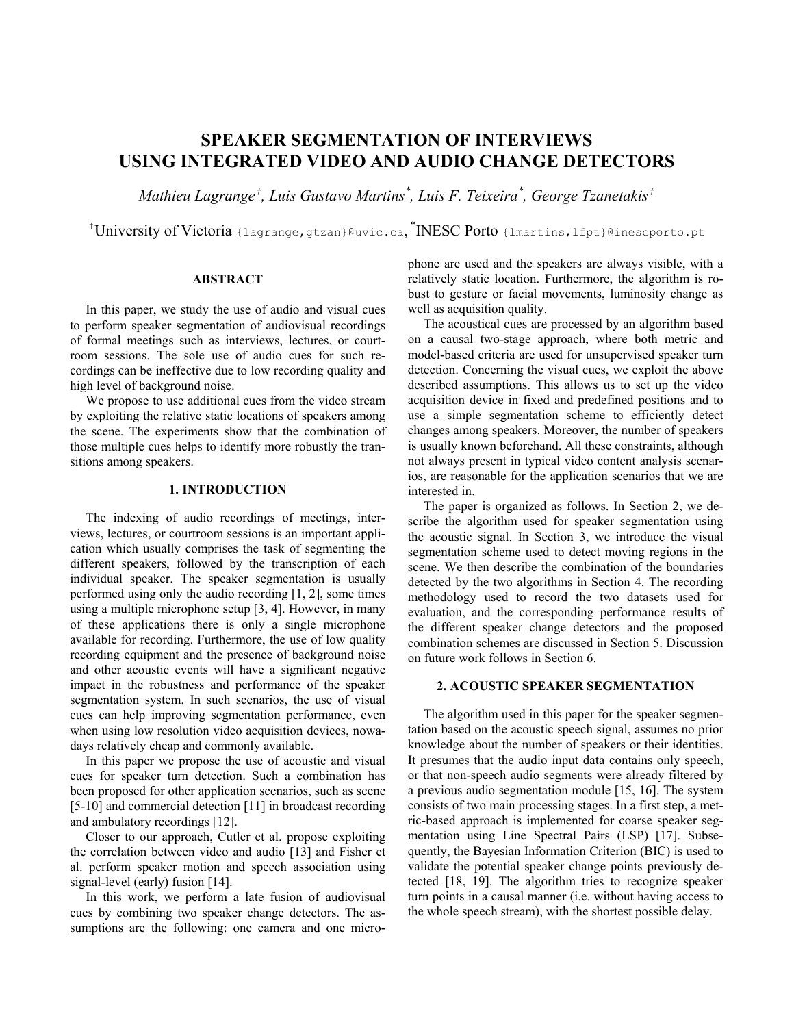# **SPEAKER SEGMENTATION OF INTERVIEWS USING INTEGRATED VIDEO AND AUDIO CHANGE DETECTORS**

*Mathieu Lagrange† , Luis Gustavo Martins\* , Luis F. Teixeira\* , George Tzanetakis†*

<sup>†</sup>University of Victoria {lagrange, gtzan}@uvic.ca, <sup>\*</sup>INESC Porto {lmartins, lfpt}@inescporto.pt

## **ABSTRACT**

In this paper, we study the use of audio and visual cues to perform speaker segmentation of audiovisual recordings of formal meetings such as interviews, lectures, or courtroom sessions. The sole use of audio cues for such recordings can be ineffective due to low recording quality and high level of background noise.

We propose to use additional cues from the video stream by exploiting the relative static locations of speakers among the scene. The experiments show that the combination of those multiple cues helps to identify more robustly the transitions among speakers.

## **1. INTRODUCTION**

The indexing of audio recordings of meetings, interviews, lectures, or courtroom sessions is an important application which usually comprises the task of segmenting the different speakers, followed by the transcription of each individual speaker. The speaker segmentation is usually performed using only the audio recording [1, 2], some times using a multiple microphone setup [3, 4]. However, in many of these applications there is only a single microphone available for recording. Furthermore, the use of low quality recording equipment and the presence of background noise and other acoustic events will have a significant negative impact in the robustness and performance of the speaker segmentation system. In such scenarios, the use of visual cues can help improving segmentation performance, even when using low resolution video acquisition devices, nowadays relatively cheap and commonly available.

<span id="page-0-0"></span>In this paper we propose the use of acoustic and visual cues for speaker turn detection. Such a combination has been proposed for other application scenarios, such as scene [5-10] and commercial detection [11] in broadcast recording and ambulatory recordings [12].

Closer to our approach, Cutler et al. propose exploiting the correlation between video and audio [13] and Fisher et al. perform speaker motion and speech association using signal-level (early) fusion [14].

In this work, we perform a late fusion of audiovisual cues by combining two speaker change detectors. The assumptions are the following: one camera and one microphone are used and the speakers are always visible, with a relatively static location. Furthermore, the algorithm is robust to gesture or facial movements, luminosity change as well as acquisition quality.

The acoustical cues are processed by an algorithm based on a causal two-stage approach, where both metric and model-based criteria are used for unsupervised speaker turn detection. Concerning the visual cues, we exploit the above described assumptions. This allows us to set up the video acquisition device in fixed and predefined positions and to use a simple segmentation scheme to efficiently detect changes among speakers. Moreover, the number of speakers is usually known beforehand. All these constraints, although not always present in typical video content analysis scenarios, are reasonable for the application scenarios that we are interested in.

The paper is organized as follows. In Section [2,](#page-0-0) we describe the algorithm used for speaker segmentation using the acoustic signal. In Section [3,](#page-2-0) we introduce the visual segmentation scheme used to detect moving regions in the scene. We then describe the combination of the boundaries detected by the two algorithms in Section [4.](#page-3-0) The recording methodology used to record the two datasets used for evaluation, and the corresponding performance results of the different speaker change detectors and the proposed combination schemes are discussed in Section [5.](#page-3-1) Discussion on future work follows in Section [6.](#page-6-0)

# **2. ACOUSTIC SPEAKER SEGMENTATION**

The algorithm used in this paper for the speaker segmentation based on the acoustic speech signal, assumes no prior knowledge about the number of speakers or their identities. It presumes that the audio input data contains only speech, or that non-speech audio segments were already filtered by a previous audio segmentation module [15, 16]. The system consists of two main processing stages. In a first step, a metric-based approach is implemented for coarse speaker segmentation using Line Spectral Pairs (LSP) [17]. Subsequently, the Bayesian Information Criterion (BIC) is used to validate the potential speaker change points previously detected [18, 19]. The algorithm tries to recognize speaker turn points in a causal manner (i.e. without having access to the whole speech stream), with the shortest possible delay.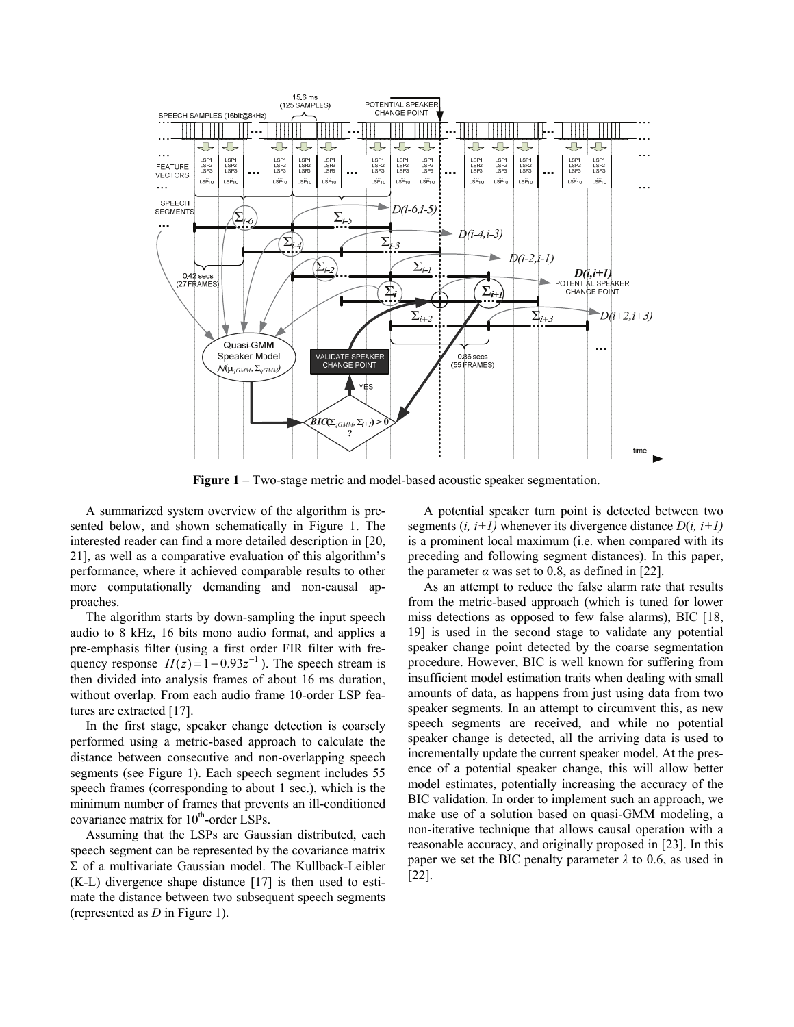

**Figure 1** – Two-stage metric and model-based acoustic speaker segmentation.

<span id="page-1-0"></span>A summarized system overview of the algorithm is presented below, and shown schematically in [Figure 1.](#page-1-0) The interested reader can find a more detailed description in [20, 21], as well as a comparative evaluation of this algorithm's performance, where it achieved comparable results to other more computationally demanding and non-causal approaches.

The algorithm starts by down-sampling the input speech audio to 8 kHz, 16 bits mono audio format, and applies a pre-emphasis filter (using a first order FIR filter with frequency response  $H(z) = 1 - 0.93z^{-1}$ . The speech stream is then divided into analysis frames of about 16 ms duration, without overlap. From each audio frame 10-order LSP features are extracted [17].

In the first stage, speaker change detection is coarsely performed using a metric-based approach to calculate the distance between consecutive and non-overlapping speech segments (see [Figure 1](#page-1-0)). Each speech segment includes 55 speech frames (corresponding to about 1 sec.), which is the minimum number of frames that prevents an ill-conditioned covariance matrix for  $10^{th}$ -order LSPs.

Assuming that the LSPs are Gaussian distributed, each speech segment can be represented by the covariance matrix Σ of a multivariate Gaussian model. The Kullback-Leibler (K-L) divergence shape distance [17] is then used to estimate the distance between two subsequent speech segments (represented as *D* in [Figure 1\)](#page-1-0).

A potential speaker turn point is detected between two segments  $(i, i+1)$  whenever its divergence distance  $D(i, i+1)$ is a prominent local maximum (i.e. when compared with its preceding and following segment distances). In this paper, the parameter  $\alpha$  was set to 0.8, as defined in [22].

As an attempt to reduce the false alarm rate that results from the metric-based approach (which is tuned for lower miss detections as opposed to few false alarms), BIC [18, 19] is used in the second stage to validate any potential speaker change point detected by the coarse segmentation procedure. However, BIC is well known for suffering from insufficient model estimation traits when dealing with small amounts of data, as happens from just using data from two speaker segments. In an attempt to circumvent this, as new speech segments are received, and while no potential speaker change is detected, all the arriving data is used to incrementally update the current speaker model. At the presence of a potential speaker change, this will allow better model estimates, potentially increasing the accuracy of the BIC validation. In order to implement such an approach, we make use of a solution based on quasi-GMM modeling, a non-iterative technique that allows causal operation with a reasonable accuracy, and originally proposed in [23]. In this paper we set the BIC penalty parameter  $\lambda$  to 0.6, as used in [22].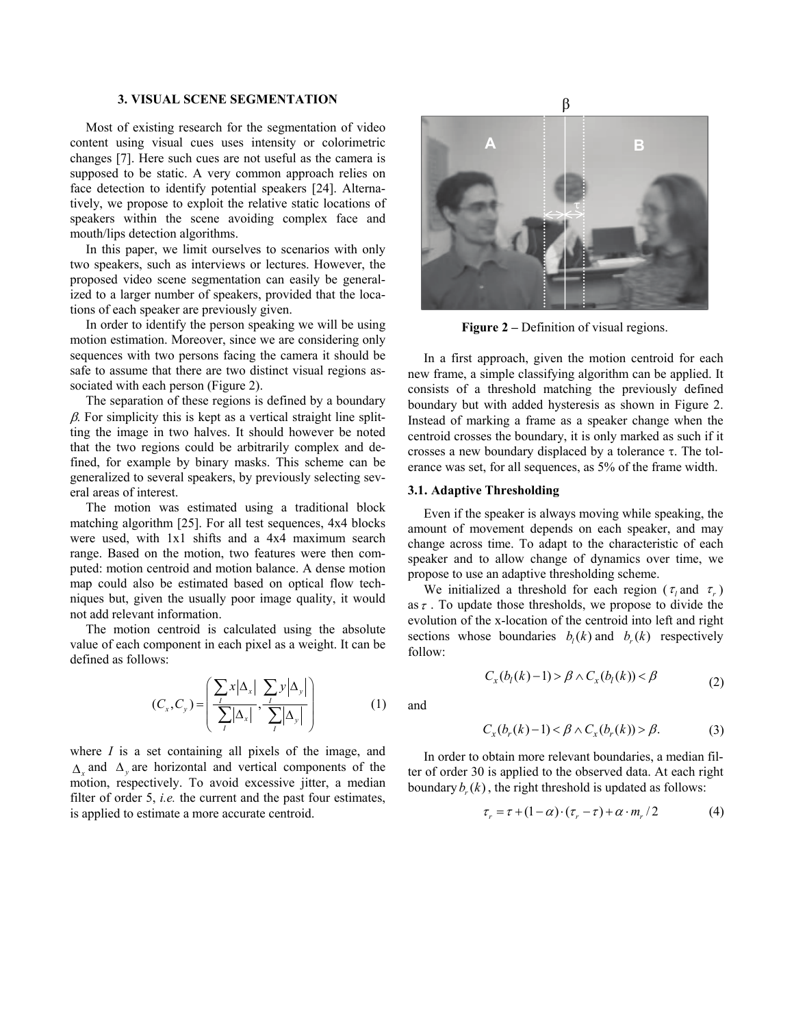## **3. VISUAL SCENE SEGMENTATION**

<span id="page-2-0"></span>Most of existing research for the segmentation of video content using visual cues uses intensity or colorimetric changes [7]. Here such cues are not useful as the camera is supposed to be static. A very common approach relies on face detection to identify potential speakers [24]. Alternatively, we propose to exploit the relative static locations of speakers within the scene avoiding complex face and mouth/lips detection algorithms.

In this paper, we limit ourselves to scenarios with only two speakers, such as interviews or lectures. However, the proposed video scene segmentation can easily be generalized to a larger number of speakers, provided that the locations of each speaker are previously given.

<span id="page-2-1"></span>In order to identify the person speaking we will be using motion estimation. Moreover, since we are considering only sequences with two persons facing the camera it should be safe to assume that there are two distinct visual regions associated with each person [\(Figure 2](#page-2-1)).

The separation of these regions is defined by a boundary  $\beta$ . For simplicity this is kept as a vertical straight line splitting the image in two halves. It should however be noted that the two regions could be arbitrarily complex and defined, for example by binary masks. This scheme can be generalized to several speakers, by previously selecting several areas of interest.

<span id="page-2-2"></span>The motion was estimated using a traditional block matching algorithm [25]. For all test sequences, 4x4 blocks were used, with 1x1 shifts and a 4x4 maximum search range. Based on the motion, two features were then computed: motion centroid and motion balance. A dense motion map could also be estimated based on optical flow techniques but, given the usually poor image quality, it would not add relevant information.

The motion centroid is calculated using the absolute value of each component in each pixel as a weight. It can be defined as follows:

$$
(C_x, C_y) = \left(\frac{\sum_{i} x |\Delta_x|}{\sum_{i} |\Delta_x|}, \frac{\sum_{i} y |\Delta_y|}{\sum_{i} |\Delta_y|}\right) \tag{1}
$$

where *I* is a set containing all pixels of the image, and  $\Delta_{\mathbf{x}}$  and  $\Delta_{\mathbf{y}}$  are horizontal and vertical components of the motion, respectively. To avoid excessive jitter, a median filter of order 5, *i.e.* the current and the past four estimates, is applied to estimate a more accurate centroid.



Figure 2 – Definition of visual regions.

In a first approach, given the motion centroid for each new frame, a simple classifying algorithm can be applied. It consists of a threshold matching the previously defined boundary but with added hysteresis as shown in [Figure 2](#page-2-1). Instead of marking a frame as a speaker change when the centroid crosses the boundary, it is only marked as such if it crosses a new boundary displaced by a tolerance τ. The tolerance was set, for all sequences, as 5% of the frame width.

## **3.1. Adaptive Thresholding**

Even if the speaker is always moving while speaking, the amount of movement depends on each speaker, and may change across time. To adapt to the characteristic of each speaker and to allow change of dynamics over time, we propose to use an adaptive thresholding scheme.

We initialized a threshold for each region ( $\tau$ , and  $\tau$ ) as  $\tau$ . To update those thresholds, we propose to divide the evolution of the x-location of the centroid into left and right sections whose boundaries  $b_i(k)$  and  $b_r(k)$  respectively follow:

$$
C_x(b_l(k)-1) > \beta \wedge C_x(b_l(k)) < \beta \tag{2}
$$

and

$$
C_x(b_r(k)-1) < \beta \land C_x(b_r(k)) > \beta. \tag{3}
$$

In order to obtain more relevant boundaries, a median filter of order 30 is applied to the observed data. At each right boundary  $b(x)$ , the right threshold is updated as follows:

$$
\tau_r = \tau + (1 - \alpha) \cdot (\tau_r - \tau) + \alpha \cdot m_r / 2 \tag{4}
$$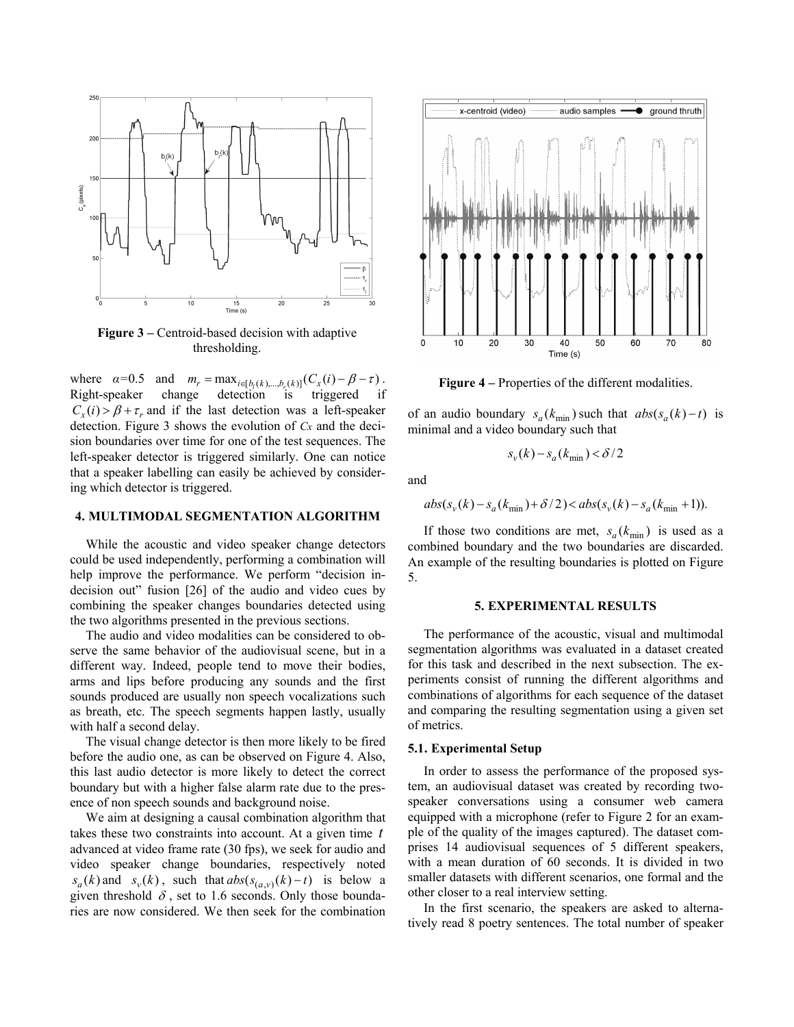

**Figure 3** – Centroid-based decision with adaptive thresholding.

<span id="page-3-3"></span><span id="page-3-2"></span>where  $\alpha = 0.5$  and  $m_r = \max_{i \in [b_l(k),...,b_r(k)]} (C_x(i) - \beta - \tau)$ . Right-speaker change detection is triggered if  $C_r(i) > \beta + \tau_r$  and if the last detection was a left-speaker detection. [Figure 3](#page-3-2) shows the evolution of *Cx* and the decision boundaries over time for one of the test sequences. The left-speaker detector is triggered similarly. One can notice that a speaker labelling can easily be achieved by considering which detector is triggered.

#### <span id="page-3-0"></span>**4. MULTIMODAL SEGMENTATION ALGORITHM**

While the acoustic and video speaker change detectors could be used independently, performing a combination will help improve the performance. We perform "decision indecision out" fusion [26] of the audio and video cues by combining the speaker changes boundaries detected using the two algorithms presented in the previous sections.

<span id="page-3-1"></span>The audio and video modalities can be considered to observe the same behavior of the audiovisual scene, but in a different way. Indeed, people tend to move their bodies, arms and lips before producing any sounds and the first sounds produced are usually non speech vocalizations such as breath, etc. The speech segments happen lastly, usually with half a second delay.

The visual change detector is then more likely to be fired before the audio one, as can be observed on [Figure 4](#page-3-3). Also, this last audio detector is more likely to detect the correct boundary but with a higher false alarm rate due to the presence of non speech sounds and background noise.

We aim at designing a causal combination algorithm that takes these two constraints into account. At a given time *t* advanced at video frame rate (30 fps), we seek for audio and video speaker change boundaries, respectively noted  $s_a(k)$  and  $s_v(k)$ , such that  $abs(s_{(a,v)}(k) - t)$  is below a given threshold  $\delta$ , set to 1.6 seconds. Only those boundaries are now considered. We then seek for the combination



**Figure 4 –** Properties of the different modalities.

of an audio boundary  $s_a(k_{\text{min}})$  such that  $abs(s_a(k) - t)$  is minimal and a video boundary such that

$$
s_v(k) - s_a(k_{\min}) < \delta/2
$$

and

$$
abs(s_v(k) - s_a(k_{\min}) + \delta/2) < abs(s_v(k) - s_a(k_{\min} + 1)).
$$

If those two conditions are met,  $s_a(k_{\text{min}})$  is used as a combined boundary and the two boundaries are discarded. An example of the resulting boundaries is plotted on [Figure](#page-4-0)  [5.](#page-4-0)

## **5. EXPERIMENTAL RESULTS**

The performance of the acoustic, visual and multimodal segmentation algorithms was evaluated in a dataset created for this task and described in the next subsection. The experiments consist of running the different algorithms and combinations of algorithms for each sequence of the dataset and comparing the resulting segmentation using a given set of metrics.

### **5.1. Experimental Setup**

In order to assess the performance of the proposed system, an audiovisual dataset was created by recording twospeaker conversations using a consumer web camera equipped with a microphone (refer to [Figure 2](#page-2-1) for an example of the quality of the images captured). The dataset comprises 14 audiovisual sequences of 5 different speakers, with a mean duration of 60 seconds. It is divided in two smaller datasets with different scenarios, one formal and the other closer to a real interview setting.

In the first scenario, the speakers are asked to alternatively read 8 poetry sentences. The total number of speaker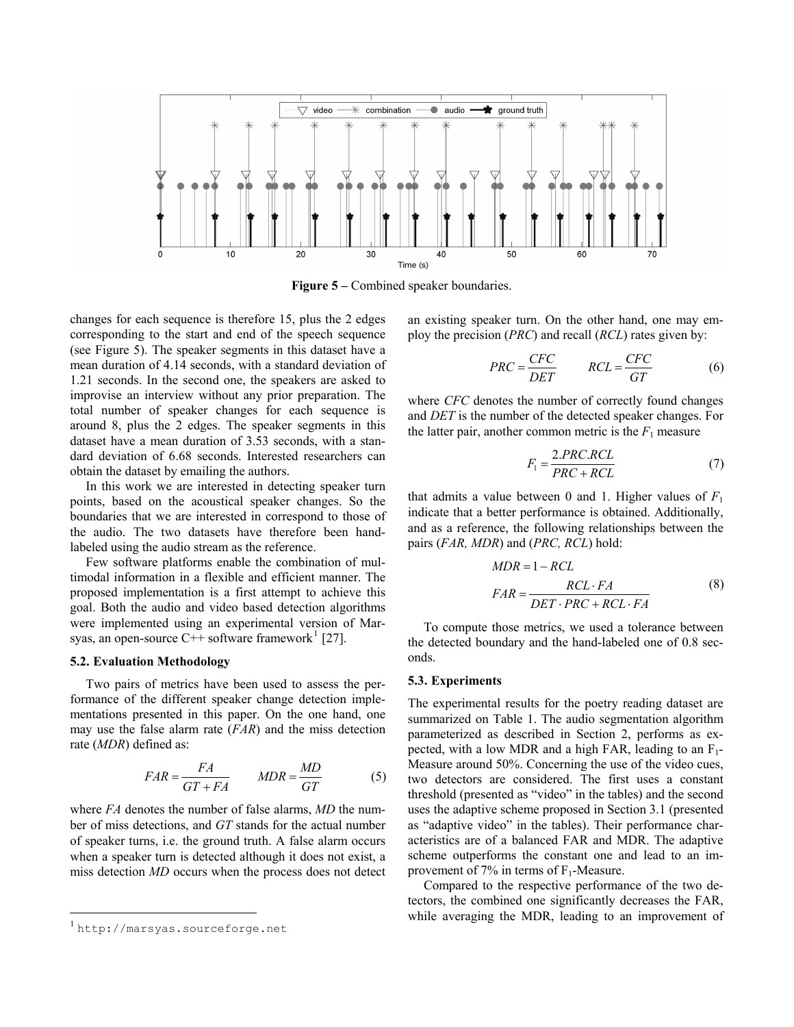

**Figure 5** – Combined speaker boundaries.

<span id="page-4-0"></span>changes for each sequence is therefore 15, plus the 2 edges corresponding to the start and end of the speech sequence (see [Figure 5](#page-4-0)). The speaker segments in this dataset have a mean duration of 4.14 seconds, with a standard deviation of 1.21 seconds. In the second one, the speakers are asked to improvise an interview without any prior preparation. The total number of speaker changes for each sequence is around 8, plus the 2 edges. The speaker segments in this dataset have a mean duration of 3.53 seconds, with a standard deviation of 6.68 seconds. Interested researchers can obtain the dataset by emailing the authors.

In this work we are interested in detecting speaker turn points, based on the acoustical speaker changes. So the boundaries that we are interested in correspond to those of the audio. The two datasets have therefore been handlabeled using the audio stream as the reference.

Few software platforms enable the combination of multimodal information in a flexible and efficient manner. The proposed implementation is a first attempt to achieve this goal. Both the audio and video based detection algorithms were implemented using an experimental version of Marsyas, an open-source  $C++$  software framework<sup>[1](#page-4-1)</sup> [27].

#### **5.2. Evaluation Methodology**

Two pairs of metrics have been used to assess the performance of the different speaker change detection implementations presented in this paper. On the one hand, one may use the false alarm rate (*FAR*) and the miss detection rate (*MDR*) defined as:

$$
FAR = \frac{FA}{GT + FA} \qquad MDR = \frac{MD}{GT} \tag{5}
$$

where *FA* denotes the number of false alarms, *MD* the number of miss detections, and *GT* stands for the actual number of speaker turns, i.e. the ground truth. A false alarm occurs when a speaker turn is detected although it does not exist, a miss detection *MD* occurs when the process does not detect

 $\overline{a}$ 

an existing speaker turn. On the other hand, one may employ the precision (*PRC*) and recall (*RCL*) rates given by:

$$
PRC = \frac{CFC}{DET} \qquad RCL = \frac{CFC}{GT} \tag{6}
$$

where *CFC* denotes the number of correctly found changes and *DET* is the number of the detected speaker changes. For the latter pair, another common metric is the  $F_1$  measure

$$
F_1 = \frac{2.PRC.RCL}{PRC + RCL}
$$
 (7)

that admits a value between 0 and 1. Higher values of  $F_1$ indicate that a better performance is obtained. Additionally, and as a reference, the following relationships between the pairs (*FAR, MDR*) and (*PRC, RCL*) hold:

$$
MDR = 1 - RCL
$$
  

$$
FAR = \frac{RCL \cdot FA}{DET \cdot PRC + RCL \cdot FA}
$$
 (8)

To compute those metrics, we used a tolerance between the detected boundary and the hand-labeled one of 0.8 seconds.

#### **5.3. Experiments**

The experimental results for the poetry reading dataset are summarized on [Table 1.](#page-5-0) The audio segmentation algorithm parameterized as described in Section [2](#page-0-0), performs as expected, with a low MDR and a high FAR, leading to an  $F_1$ -Measure around 50%. Concerning the use of the video cues, two detectors are considered. The first uses a constant threshold (presented as "video" in the tables) and the second uses the adaptive scheme proposed in Section [3.1](#page-2-2) (presented as "adaptive video" in the tables). Their performance characteristics are of a balanced FAR and MDR. The adaptive scheme outperforms the constant one and lead to an improvement of 7% in terms of  $F_1$ -Measure.

Compared to the respective performance of the two detectors, the combined one significantly decreases the FAR, while averaging the MDR, leading to an improvement of

<span id="page-4-1"></span>http://marsyas.sourceforge.net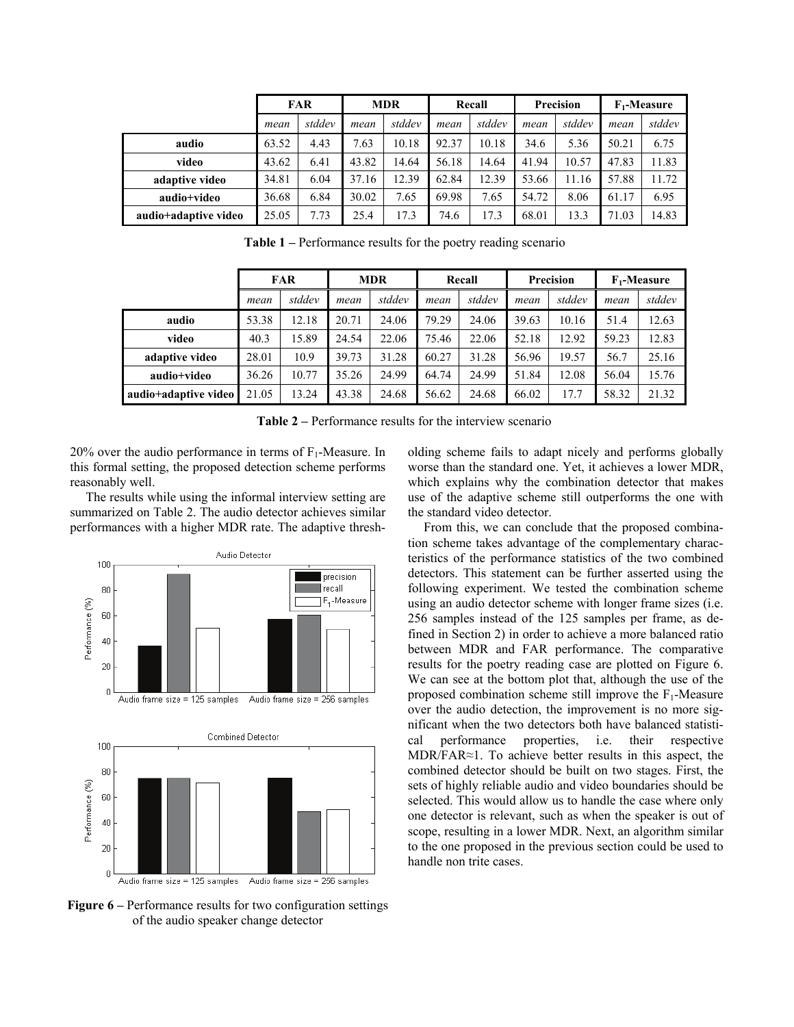|                      | <b>FAR</b> |        | <b>MDR</b> |        | Recall |        | <b>Precision</b> |        | $F_1$ -Measure |        |
|----------------------|------------|--------|------------|--------|--------|--------|------------------|--------|----------------|--------|
|                      | mean       | stddev | mean       | stddev | mean   | stddev | mean             | stddev | mean           | stddev |
| audio                | 63.52      | 4.43   | 7.63       | 10.18  | 92.37  | 10.18  | 34.6             | 5.36   | 50.21          | 6.75   |
| video                | 43.62      | 6.41   | 43.82      | 14.64  | 56.18  | 14.64  | 41.94            | 10.57  | 47.83          | 11.83  |
| adaptive video       | 34.81      | 6.04   | 37.16      | 12.39  | 62.84  | 12.39  | 53.66            | 11.16  | 57.88          | 11.72  |
| audio+video          | 36.68      | 6.84   | 30.02      | 7.65   | 69.98  | 7.65   | 54.72            | 8.06   | 61.17          | 6.95   |
| audio+adaptive video | 25.05      | 7.73   | 25.4       | 17.3   | 74.6   | 17.3   | 68.01            | 13.3   | 71.03          | 14.83  |

**Table 1 –** Performance results for the poetry reading scenario

<span id="page-5-0"></span>

|                      | <b>FAR</b> |        | <b>MDR</b> |        | Recall |        | Precision |        | $F_1$ -Measure |        |
|----------------------|------------|--------|------------|--------|--------|--------|-----------|--------|----------------|--------|
|                      | mean       | stddev | mean       | stddev | mean   | stddev | mean      | stddev | mean           | stddev |
| audio                | 53.38      | 12.18  | 20.71      | 24.06  | 79.29  | 24.06  | 39.63     | 10.16  | 51.4           | 12.63  |
| video                | 40.3       | 15.89  | 24.54      | 22.06  | 75.46  | 22.06  | 52.18     | 12.92  | 59.23          | 12.83  |
| adaptive video       | 28.01      | 10.9   | 39.73      | 31.28  | 60.27  | 31.28  | 56.96     | 19.57  | 56.7           | 25.16  |
| audio+video          | 36.26      | 10.77  | 35.26      | 24.99  | 64.74  | 24.99  | 51.84     | 12.08  | 56.04          | 15.76  |
| audio+adaptive video | 21.05      | 13.24  | 43.38      | 24.68  | 56.62  | 24.68  | 66.02     | 17.7   | 58.32          | 21.32  |

**Table 2 –** Performance results for the interview scenario

<span id="page-5-1"></span> $20\%$  over the audio performance in terms of  $F_1$ -Measure. In this formal setting, the proposed detection scheme performs reasonably well.

The results while using the informal interview setting are summarized on [Table 2.](#page-5-1) The audio detector achieves similar performances with a higher MDR rate. The adaptive thresh-



<span id="page-5-2"></span>**Figure 6** – Performance results for two configuration settings of the audio speaker change detector

olding scheme fails to adapt nicely and performs globally worse than the standard one. Yet, it achieves a lower MDR, which explains why the combination detector that makes use of the adaptive scheme still outperforms the one with the standard video detector.

From this, we can conclude that the proposed combination scheme takes advantage of the complementary characteristics of the performance statistics of the two combined detectors. This statement can be further asserted using the following experiment. We tested the combination scheme using an audio detector scheme with longer frame sizes (i.e. 256 samples instead of the 125 samples per frame, as defined in Section [2](#page-0-0)) in order to achieve a more balanced ratio between MDR and FAR performance. The comparative results for the poetry reading case are plotted on [Figure 6](#page-5-2). We can see at the bottom plot that, although the use of the proposed combination scheme still improve the  $F_1$ -Measure over the audio detection, the improvement is no more significant when the two detectors both have balanced statistical performance properties, i.e. their respective MDR/FAR≈1. To achieve better results in this aspect, the combined detector should be built on two stages. First, the sets of highly reliable audio and video boundaries should be selected. This would allow us to handle the case where only one detector is relevant, such as when the speaker is out of scope, resulting in a lower MDR. Next, an algorithm similar to the one proposed in the previous section could be used to handle non trite cases.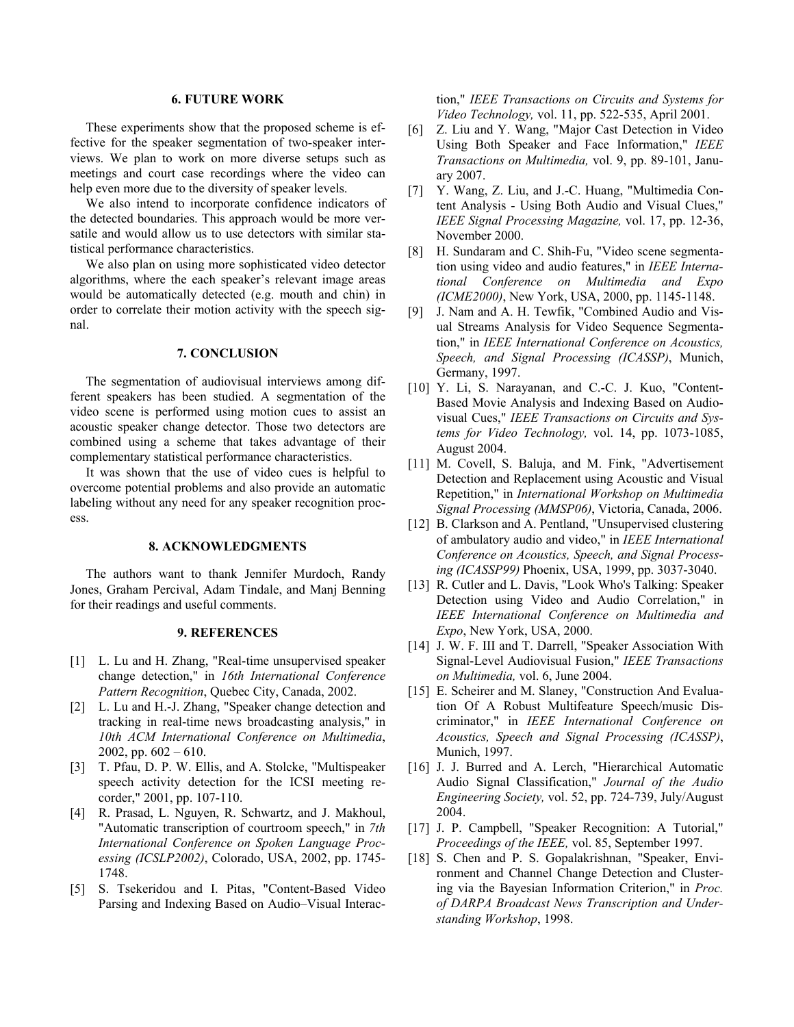## **6. FUTURE WORK**

<span id="page-6-0"></span>These experiments show that the proposed scheme is effective for the speaker segmentation of two-speaker interviews. We plan to work on more diverse setups such as meetings and court case recordings where the video can help even more due to the diversity of speaker levels.

We also intend to incorporate confidence indicators of the detected boundaries. This approach would be more versatile and would allow us to use detectors with similar statistical performance characteristics.

We also plan on using more sophisticated video detector algorithms, where the each speaker's relevant image areas would be automatically detected (e.g. mouth and chin) in order to correlate their motion activity with the speech signal.

## **7. CONCLUSION**

The segmentation of audiovisual interviews among different speakers has been studied. A segmentation of the video scene is performed using motion cues to assist an acoustic speaker change detector. Those two detectors are combined using a scheme that takes advantage of their complementary statistical performance characteristics.

It was shown that the use of video cues is helpful to overcome potential problems and also provide an automatic labeling without any need for any speaker recognition process.

#### **8. ACKNOWLEDGMENTS**

The authors want to thank Jennifer Murdoch, Randy Jones, Graham Percival, Adam Tindale, and Manj Benning for their readings and useful comments.

### **9. REFERENCES**

- [1] L. Lu and H. Zhang, "Real-time unsupervised speaker change detection," in *16th International Conference Pattern Recognition*, Quebec City, Canada, 2002.
- [2] L. Lu and H.-J. Zhang, "Speaker change detection and tracking in real-time news broadcasting analysis," in *10th ACM International Conference on Multimedia*, 2002, pp.  $602 - 610$ .
- [3] T. Pfau, D. P. W. Ellis, and A. Stolcke, "Multispeaker speech activity detection for the ICSI meeting recorder," 2001, pp. 107-110.
- [4] R. Prasad, L. Nguyen, R. Schwartz, and J. Makhoul, "Automatic transcription of courtroom speech," in *7th International Conference on Spoken Language Processing (ICSLP2002)*, Colorado, USA, 2002, pp. 1745- 1748.
- [5] S. Tsekeridou and I. Pitas, "Content-Based Video Parsing and Indexing Based on Audio–Visual Interac-

tion," *IEEE Transactions on Circuits and Systems for Video Technology,* vol. 11, pp. 522-535, April 2001.

- [6] Z. Liu and Y. Wang, "Major Cast Detection in Video Using Both Speaker and Face Information," *IEEE Transactions on Multimedia,* vol. 9, pp. 89-101, January 2007.
- [7] Y. Wang, Z. Liu, and J.-C. Huang, "Multimedia Content Analysis - Using Both Audio and Visual Clues," *IEEE Signal Processing Magazine,* vol. 17, pp. 12-36, November 2000.
- [8] H. Sundaram and C. Shih-Fu, "Video scene segmentation using video and audio features," in *IEEE International Conference on Multimedia and Expo (ICME2000)*, New York, USA, 2000, pp. 1145-1148.
- [9] J. Nam and A. H. Tewfik, "Combined Audio and Visual Streams Analysis for Video Sequence Segmentation," in *IEEE International Conference on Acoustics, Speech, and Signal Processing (ICASSP)*, Munich, Germany, 1997.
- [10] Y. Li, S. Narayanan, and C.-C. J. Kuo, "Content-Based Movie Analysis and Indexing Based on Audiovisual Cues," *IEEE Transactions on Circuits and Systems for Video Technology,* vol. 14, pp. 1073-1085, August 2004.
- [11] M. Covell, S. Baluja, and M. Fink, "Advertisement Detection and Replacement using Acoustic and Visual Repetition," in *International Workshop on Multimedia Signal Processing (MMSP06)*, Victoria, Canada, 2006.
- [12] B. Clarkson and A. Pentland, "Unsupervised clustering of ambulatory audio and video," in *IEEE International Conference on Acoustics, Speech, and Signal Processing (ICASSP99)* Phoenix, USA, 1999, pp. 3037-3040.
- [13] R. Cutler and L. Davis, "Look Who's Talking: Speaker Detection using Video and Audio Correlation," in *IEEE International Conference on Multimedia and Expo*, New York, USA, 2000.
- [14] J. W. F. III and T. Darrell, "Speaker Association With Signal-Level Audiovisual Fusion," *IEEE Transactions on Multimedia,* vol. 6, June 2004.
- [15] E. Scheirer and M. Slaney, "Construction And Evaluation Of A Robust Multifeature Speech/music Discriminator," in *IEEE International Conference on Acoustics, Speech and Signal Processing (ICASSP)*, Munich, 1997.
- [16] J. J. Burred and A. Lerch, "Hierarchical Automatic Audio Signal Classification," *Journal of the Audio Engineering Society,* vol. 52, pp. 724-739, July/August 2004.
- [17] J. P. Campbell, "Speaker Recognition: A Tutorial," *Proceedings of the IEEE,* vol. 85, September 1997.
- [18] S. Chen and P. S. Gopalakrishnan, "Speaker, Environment and Channel Change Detection and Clustering via the Bayesian Information Criterion," in *Proc. of DARPA Broadcast News Transcription and Understanding Workshop*, 1998.